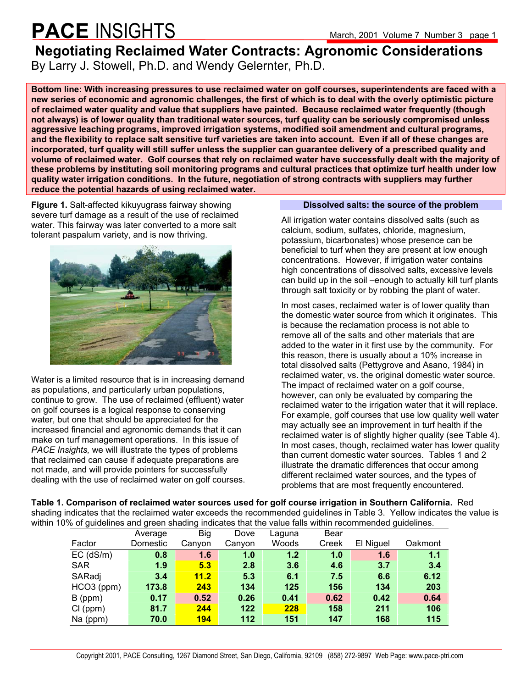### **PACE** INSIGHTS March, 2001 Volume 7 Number 3 page 1

### **Negotiating Reclaimed Water Contracts: Agronomic Considerations**  By Larry J. Stowell, Ph.D. and Wendy Gelernter, Ph.D.

**Bottom line: With increasing pressures to use reclaimed water on golf courses, superintendents are faced with a new series of economic and agronomic challenges, the first of which is to deal with the overly optimistic picture of reclaimed water quality and value that suppliers have painted. Because reclaimed water frequently (though not always) is of lower quality than traditional water sources, turf quality can be seriously compromised unless aggressive leaching programs, improved irrigation systems, modified soil amendment and cultural programs, and the flexibility to replace salt sensitive turf varieties are taken into account. Even if all of these changes are incorporated, turf quality will still suffer unless the supplier can guarantee delivery of a prescribed quality and volume of reclaimed water. Golf courses that rely on reclaimed water have successfully dealt with the majority of these problems by instituting soil monitoring programs and cultural practices that optimize turf health under low quality water irrigation conditions. In the future, negotiation of strong contracts with suppliers may further reduce the potential hazards of using reclaimed water.**

**Figure 1.** Salt-affected kikuyugrass fairway showing severe turf damage as a result of the use of reclaimed water. This fairway was later converted to a more salt tolerant paspalum variety, and is now thriving.



Water is a limited resource that is in increasing demand as populations, and particularly urban populations, continue to grow. The use of reclaimed (effluent) water on golf courses is a logical response to conserving water, but one that should be appreciated for the increased financial and agronomic demands that it can make on turf management operations. In this issue of *PACE Insights,* we will illustrate the types of problems that reclaimed can cause if adequate preparations are not made, and will provide pointers for successfully dealing with the use of reclaimed water on golf courses.

### **Dissolved salts: the source of the problem**

All irrigation water contains dissolved salts (such as calcium, sodium, sulfates, chloride, magnesium, potassium, bicarbonates) whose presence can be beneficial to turf when they are present at low enough concentrations. However, if irrigation water contains high concentrations of dissolved salts, excessive levels can build up in the soil –enough to actually kill turf plants through salt toxicity or by robbing the plant of water.

In most cases, reclaimed water is of lower quality than the domestic water source from which it originates. This is because the reclamation process is not able to remove all of the salts and other materials that are added to the water in it first use by the community. For this reason, there is usually about a 10% increase in total dissolved salts (Pettygrove and Asano, 1984) in reclaimed water, vs. the original domestic water source. The impact of reclaimed water on a golf course, however, can only be evaluated by comparing the reclaimed water to the irrigation water that it will replace. For example, golf courses that use low quality well water may actually see an improvement in turf health if the reclaimed water is of slightly higher quality (see Table 4). In most cases, though, reclaimed water has lower quality than current domestic water sources. Tables 1 and 2 illustrate the dramatic differences that occur among different reclaimed water sources, and the types of problems that are most frequently encountered.

**Table 1. Comparison of reclaimed water sources used for golf course irrigation in Southern California.** Red shading indicates that the reclaimed water exceeds the recommended guidelines in Table 3. Yellow indicates the value is within 10% of quidelines and green shading indicates that the value falls within recommended quidelines.

|                 | Average  | <b>Big</b> | Dove   | Laguna | Bear  |           |         |
|-----------------|----------|------------|--------|--------|-------|-----------|---------|
| Factor          | Domestic | Canyon     | Canyon | Woods  | Creek | El Niguel | Oakmont |
| $EC$ ( $dS/m$ ) | 0.8      | 1.6        | 1.0    | 1.2    | 1.0   | 1.6       | 1.1     |
| <b>SAR</b>      | 1.9      | 5.3        | 2.8    | 3.6    | 4.6   | 3.7       | 3.4     |
| SARadj          | 3.4      | 11.2       | 5.3    | 6.1    | 7.5   | 6.6       | 6.12    |
| HCO3 (ppm)      | 173.8    | 243        | 134    | 125    | 156   | 134       | 203     |
| $B$ (ppm)       | 0.17     | 0.52       | 0.26   | 0.41   | 0.62  | 0.42      | 0.64    |
| Cl (ppm)        | 81.7     | 244        | 122    | 228    | 158   | 211       | 106     |
| Na (ppm)        | 70.0     | 194        | 112    | 151    | 147   | 168       | 115     |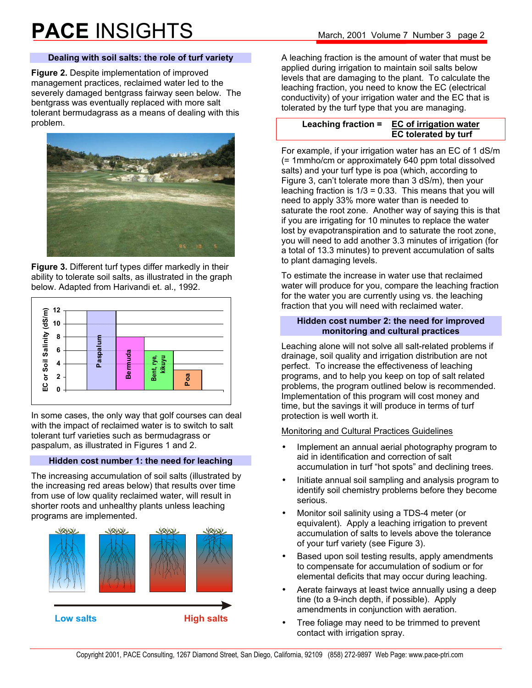### **Dealing with soil salts: the role of turf variety**

**Figure 2.** Despite implementation of improved management practices, reclaimed water led to the severely damaged bentgrass fairway seen below. The bentgrass was eventually replaced with more salt tolerant bermudagrass as a means of dealing with this problem.



**Figure 3.** Different turf types differ markedly in their ability to tolerate soil salts, as illustrated in the graph below. Adapted from Harivandi et. al., 1992.



In some cases, the only way that golf courses can deal with the impact of reclaimed water is to switch to salt tolerant turf varieties such as bermudagrass or paspalum, as illustrated in Figures 1 and 2.

### **Hidden cost number 1: the need for leaching**

The increasing accumulation of soil salts (illustrated by the increasing red areas below) that results over time from use of low quality reclaimed water, will result in shorter roots and unhealthy plants unless leaching programs are implemented.



A leaching fraction is the amount of water that must be applied during irrigation to maintain soil salts below levels that are damaging to the plant. To calculate the leaching fraction, you need to know the EC (electrical conductivity) of your irrigation water and the EC that is tolerated by the turf type that you are managing.

#### **Leaching fraction = EC of irrigation water EC tolerated by turf**

For example, if your irrigation water has an EC of 1 dS/m (= 1mmho/cm or approximately 640 ppm total dissolved salts) and your turf type is poa (which, according to Figure 3, can't tolerate more than 3 dS/m), then your leaching fraction is 1/3 = 0.33. This means that you will need to apply 33% more water than is needed to saturate the root zone. Another way of saying this is that if you are irrigating for 10 minutes to replace the water lost by evapotranspiration and to saturate the root zone, you will need to add another 3.3 minutes of irrigation (for a total of 13.3 minutes) to prevent accumulation of salts to plant damaging levels.

To estimate the increase in water use that reclaimed water will produce for you, compare the leaching fraction for the water you are currently using vs. the leaching fraction that you will need with reclaimed water.

### **Hidden cost number 2: the need for improved monitoring and cultural practices**

Leaching alone will not solve all salt-related problems if drainage, soil quality and irrigation distribution are not perfect. To increase the effectiveness of leaching programs, and to help you keep on top of salt related problems, the program outlined below is recommended. Implementation of this program will cost money and time, but the savings it will produce in terms of turf protection is well worth it.

### Monitoring and Cultural Practices Guidelines

- Implement an annual aerial photography program to aid in identification and correction of salt accumulation in turf "hot spots" and declining trees.
- Initiate annual soil sampling and analysis program to identify soil chemistry problems before they become serious.
- Monitor soil salinity using a TDS-4 meter (or equivalent). Apply a leaching irrigation to prevent accumulation of salts to levels above the tolerance of your turf variety (see Figure 3).
- Based upon soil testing results, apply amendments to compensate for accumulation of sodium or for elemental deficits that may occur during leaching.
- Aerate fairways at least twice annually using a deep tine (to a 9-inch depth, if possible). Apply amendments in conjunction with aeration.
- Tree foliage may need to be trimmed to prevent contact with irrigation spray.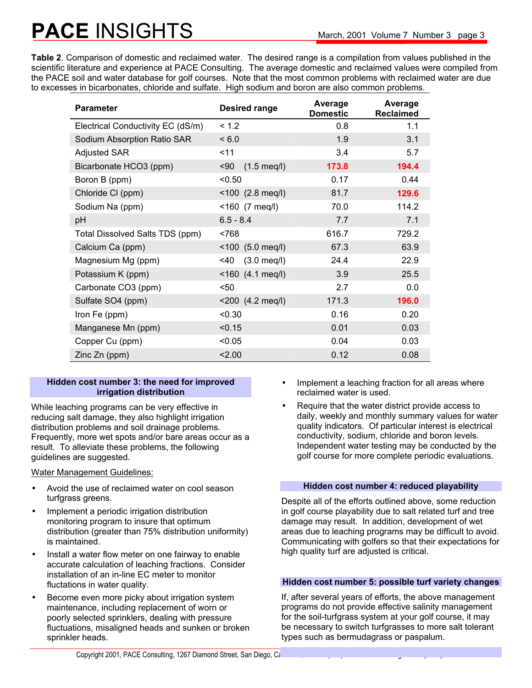# **PACE INSIGHTS** March, 2001 Volume 7 Number 3 page 3

**Table 2**. Comparison of domestic and reclaimed water. The desired range is a compilation from values published in the scientific literature and experience at PACE Consulting. The average domestic and reclaimed values were compiled from the PACE soil and water database for golf courses. Note that the most common problems with reclaimed water are due to excesses in bicarbonates, chloride and sulfate. High sodium and boron are also common problems.

| <b>Parameter</b>                  | <b>Desired range</b>          | Average<br><b>Domestic</b> | Average<br><b>Reclaimed</b> |
|-----------------------------------|-------------------------------|----------------------------|-----------------------------|
| Electrical Conductivity EC (dS/m) | < 1.2                         | 0.8                        | 1.1                         |
| Sodium Absorption Ratio SAR       | < 6.0                         | 1.9                        | 3.1                         |
| <b>Adjusted SAR</b>               | 11                            | 3.4                        | 5.7                         |
| Bicarbonate HCO3 (ppm)            | $90$<br>$(1.5 \text{ meq/l})$ | 173.8                      | 194.4                       |
| Boron B (ppm)                     | < 0.50                        | 0.17                       | 0.44                        |
| Chloride CI (ppm)                 | $< 100$ (2.8 meg/l)           | 81.7                       | 129.6                       |
| Sodium Na (ppm)                   | <160 (7 meq/l)                | 70.0                       | 114.2                       |
| pH                                | $6.5 - 8.4$                   | 7.7                        | 7.1                         |
| Total Dissolved Salts TDS (ppm)   | < 768                         | 616.7                      | 729.2                       |
| Calcium Ca (ppm)                  | $<$ 100 (5.0 meq/l)           | 67.3                       | 63.9                        |
| Magnesium Mg (ppm)                | 40<<br>$(3.0 \text{ meq/l})$  | 24.4                       | 22.9                        |
| Potassium K (ppm)                 | <160 (4.1 meq/l)              | 3.9                        | 25.5                        |
| Carbonate CO3 (ppm)               | <50                           | 2.7                        | 0.0                         |
| Sulfate SO4 (ppm)                 | <200 (4.2 meq/l)              | 171.3                      | 196.0                       |
| Iron Fe (ppm)                     | < 0.30                        | 0.16                       | 0.20                        |
| Manganese Mn (ppm)                | < 0.15                        | 0.01                       | 0.03                        |
| Copper Cu (ppm)                   | < 0.05                        | 0.04                       | 0.03                        |
| Zinc Zn (ppm)                     | 2.00                          | 0.12                       | 0.08                        |

### **Hidden cost number 3: the need for improved irrigation distribution**

While leaching programs can be very effective in reducing salt damage, they also highlight irrigation distribution problems and soil drainage problems. Frequently, more wet spots and/or bare areas occur as a result. To alleviate these problems, the following guidelines are suggested.

Water Management Guidelines:

- Avoid the use of reclaimed water on cool season turfgrass greens.
- Implement a periodic irrigation distribution monitoring program to insure that optimum distribution (greater than 75% distribution uniformity) is maintained.
- Install a water flow meter on one fairway to enable accurate calculation of leaching fractions. Consider installation of an in-line EC meter to monitor fluctations in water quality.
- Become even more picky about irrigation system maintenance, including replacement of worn or poorly selected sprinklers, dealing with pressure fluctuations, misaligned heads and sunken or broken sprinkler heads.
- Implement a leaching fraction for all areas where reclaimed water is used.
- Require that the water district provide access to daily, weekly and monthly summary values for water quality indicators. Of particular interest is electrical conductivity, sodium, chloride and boron levels. Independent water testing may be conducted by the golf course for more complete periodic evaluations.

### **Hidden cost number 4: reduced playability**

Despite all of the efforts outlined above, some reduction in golf course playability due to salt related turf and tree damage may result. In addition, development of wet areas due to leaching programs may be difficult to avoid. Communicating with golfers so that their expectations for high quality turf are adjusted is critical.

### **Hidden cost number 5: possible turf variety changes**

If, after several years of efforts, the above management programs do not provide effective salinity management for the soil-turfgrass system at your golf course, it may be necessary to switch turfgrasses to more salt tolerant types such as bermudagrass or paspalum.